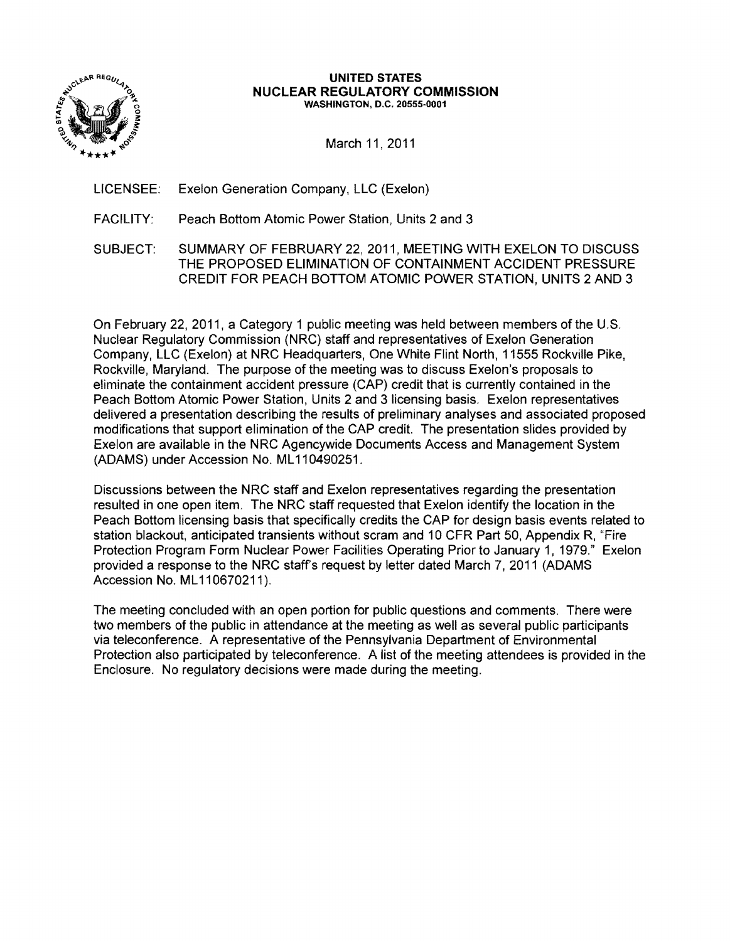

#### **UNITED STATES NUCLEAR REGULATORY COMMISSION** WASHINGTON, D.C. 20555-0001

March 11, 2011

LICENSEE: Exelon Generation Company, LLC (Exelon)

FACILITY: Peach Bottom Atomic Power Station, Units 2 and 3

SUB,JECT: SUMMARY OF FEBRUARY 22, 2011, MEETING WITH EXELON TO DISCUSS THE PROPOSED ELIMINATION OF CONTAINMENT ACCIDENT PRESSURE CREDIT FOR PEACH BOTTOM ATOMIC POWER STATION, UNITS 2 AND 3

On February 22, 2011, a Category 1 public meeting was held between members of the U.S. Nuclear Regulatory Commission (NRC) staff and representatives of Exelon Generation Company, LLC (Exelon) at NRC Headquarters, One White Flint North, 11555 Rockville Pike, Rockville, Maryland. The purpose of the meeting was to discuss Exelon's proposals to eliminate the containment accident pressure (CAP) credit that is currently contained in the Peach Bottom Atomic Power Station, Units 2 and 3 licensing basis. Exelon representatives delivered a presentation describing the results of preliminary analyses and associated proposed modifications that support elimination of the CAP credit. The presentation slides provided by Exelon are available in the NRC Agencywide Documents Access and Management System (ADAMS) under Accession No. ML 110490251.

Discussions between the NRC staff and Exelon representatives regarding the presentation resulted in one open item. The NRC staff requested that Exelon identify the location in the Peach Bottom licensing basis that specifically credits the CAP for design basis events related to station blackout, anticipated transients without scram and 10 CFR Part 50, Appendix R, "Fire Protection Program Form Nuclear Power Facilities Operating Prior to January 1, 1979." Exelon provided a response to the NRC staff's request by letter dated March 7, 2011 (ADAMS Accession No. ML 110670211).

The meeting concluded with an open portion for public questions and comments. There were two members of the public in attendance at the meeting as well as several public participants via teleconference. A representative of the Pennsylvania Department of Environmental Protection also participated by teleconference. A list of the meeting attendees is provided in the Enclosure. No regulatory decisions were made during the meeting.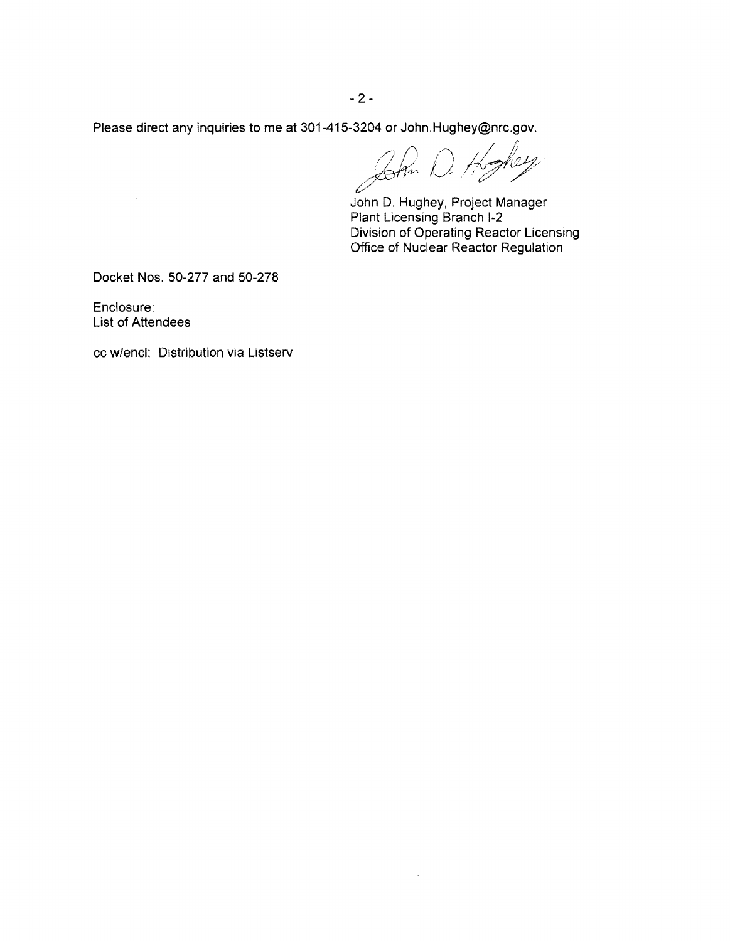$-2-$ 

Please direct any inquiries to me at 301-415-3204 or John.Hughey@nrc.gov. / ,I <sup>I</sup> John D. Hoghey<br>John D. Hughey, Project Manager

 $\mathcal{A}^{\mathcal{A}}$ 

Plant Licensing Branch 1-2 Division of Operating Reactor Licensing Office of Nuclear Reactor Regulation

Docket Nos. 50-277 and 50-278

Enclosure: List of Attendees

 $\sim 100$ 

cc w/encl: Distribution via Listserv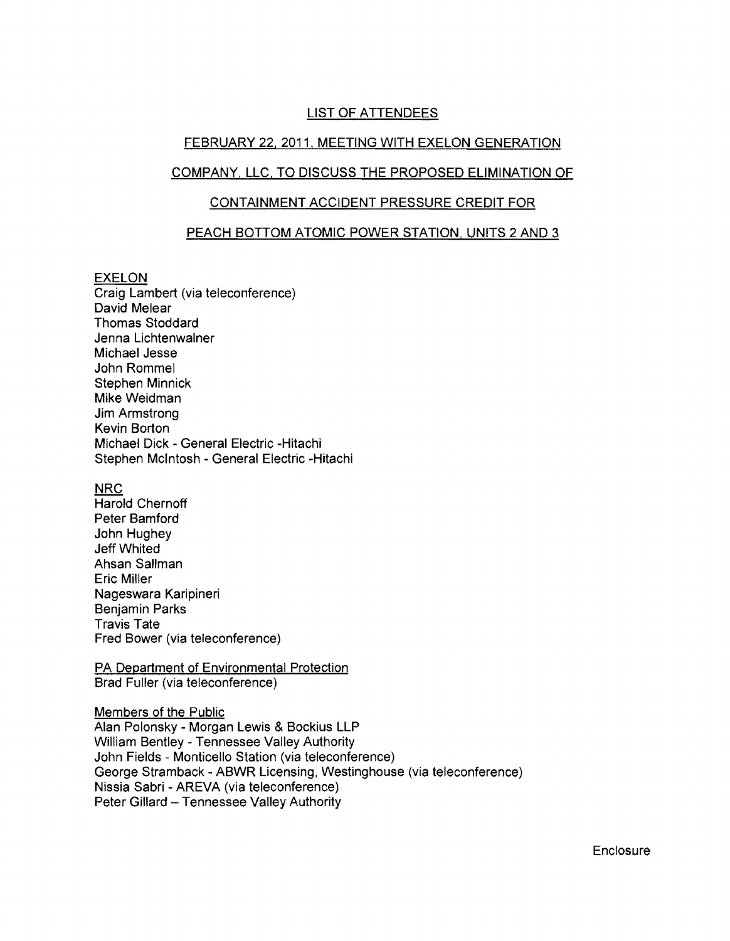# LIST OF ATTENDEES

### FEBRUARY 22, 2011, MEETING WITH EXELON GENERATION

### COMPANY, LLC, TO DISCUSS THE PROPOSED ELIMINATION OF

### CONTAINMENT ACCIDENT PRESSURE CREDIT FOR

#### PEACH BOTTOM ATOMIC POWER STATION, UNITS 2 AND 3

#### EXELON

Craig Lambert (via teleconference) David Melear Thomas Stoddard Jenna Lichtenwalner Michael Jesse John Rommel Stephen Minnick Mike Weidman Jim Armstrong Kevin Borton Michael Dick - General Electric -Hitachi Stephen Mcintosh - General Electric -Hitachi

#### NRC

Harold Chernoff Peter Bamford John Hughey Jeff Whited Ahsan Sallman Eric Miller Nageswara Karipineri Benjamin Parks Travis Tate Fred Bower (via teleconference)

#### PA Department of Environmental Protection Brad Fuller (via teleconference)

#### Members of the Public

Alan Polonsky - Morgan Lewis & Bockius LLP William Bentley - Tennessee Valley Authority John Fields - Monticello Station (via teleconference) George Stramback - ABWR Licensing, Westinghouse (via teleconference) Nissia Sabri - AREVA (via teleconference) Peter Gillard - Tennessee Valley Authority